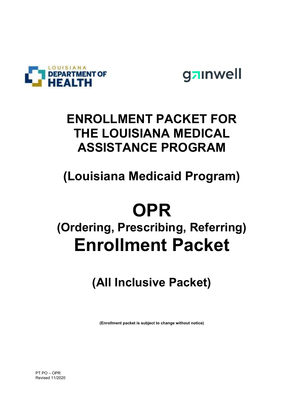



## ENROLLMENT PACKET FOR THE LOUISIANA MEDICAL ASSISTANCE PROGRAM

## (Louisiana Medicaid Program)

# **OPR**

# (Ordering, Prescribing, Referring) Enrollment Packet

## (All Inclusive Packet)

(Enrollment packet is subject to change without notice)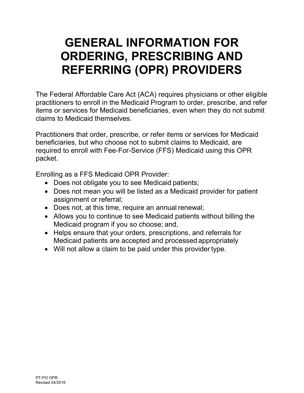## GENERAL INFORMATION FOR ORDERING, PRESCRIBING AND REFERRING (OPR) PROVIDERS

The Federal Affordable Care Act (ACA) requires physicians or other eligible practitioners to enroll in the Medicaid Program to order, prescribe, and refer items or services for Medicaid beneficiaries, even when they do not submit claims to Medicaid themselves.

Practitioners that order, prescribe, or refer items or services for Medicaid beneficiaries, but who choose not to submit claims to Medicaid, are required to enroll with Fee-For-Service (FFS) Medicaid using this OPR packet.

Enrolling as a FFS Medicaid OPR Provider:

- Does not obligate you to see Medicaid patients;
- Does not mean you will be listed as a Medicaid provider for patient assignment or referral;
- Does not, at this time, require an annual renewal;
- Allows you to continue to see Medicaid patients without billing the Medicaid program if you so choose; and,
- Helps ensure that your orders, prescriptions, and referrals for Medicaid patients are accepted and processed appropriately
- Will not allow a claim to be paid under this provider type.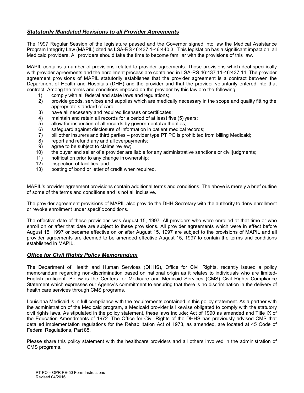#### **Statutorily Mandated Revisions to all Provider Agreements**

The 1997 Regular Session of the legislature passed and the Governor signed into law the Medical Assistance Program Integrity Law (MAPIL) cited as LSA-RS 46:437.1-46:440.3. This legislation has a significant impact on all Medicaid providers. All providers should take the time to become familiar with the provisions of this law.

MAPIL contains a number of provisions related to provider agreements. Those provisions which deal specifically with provider agreements and the enrollment process are contained in LSA-RS 46:437.11-46:437:14. The provider agreement provisions of MAPIL statutorily establishes that the provider agreement is a contract between the Department of Health and Hospitals (DHH) and the provider and that the provider voluntarily entered into that contract. Among the terms and conditions imposed on the provider by this law are the following:

- 1) comply with all federal and state laws and regulations;
- 2) provide goods, services and supplies which are medically necessary in the scope and quality fitting the appropriate standard of care;
- 3) have all necessary and required licenses or certificates;
- 4) maintain and retain all records for a period of at least five (5) years;
- 5) allow for inspection of all records by governmental authorities;
- 6) safeguard against disclosure of information in patient medical records;
- 7) bill other insurers and third parties provider type PT PO is prohibited from billing Medicaid;
- 8) report and refund any and all overpayments;
- 9) agree to be subject to claims review;
- 10) the buyer and seller of a provider are liable for any administrative sanctions or civil judgments;
- 11) notification prior to any change in ownership;
- 12) inspection of facilities; and
- 13) posting of bond or letter of credit when required.

MAPIL's provider agreement provisions contain additional terms and conditions. The above is merely a brief outline of some of the terms and conditions and is not all inclusive.

The provider agreement provisions of MAPIL also provide the DHH Secretary with the authority to deny enrollment or revoke enrollment under specific conditions.

The effective date of these provisions was August 15, 1997. All providers who were enrolled at that time or who enroll on or after that date are subject to these provisions. All provider agreements which were in effect before August 15, 1997 or became effective on or after August 15, 1997 are subject to the provisions of MAPIL and all provider agreements are deemed to be amended effective August 15, 1997 to contain the terms and conditions established in MAPIL.

#### **Office for Civil Rights Policy Memorandum**

The Department of Health and Human Services (DHHS), Office for Civil Rights, recently issued a policy memorandum regarding non-discrimination based on national origin as it relates to individuals who are limited-English proficient. Below is the Centers for Medicare and Medicaid Services (CMS) Civil Rights Compliance Statement which expresses our Agency's commitment to ensuring that there is no discrimination in the delivery of health care services through CMS programs.

Louisiana Medicaid is in full compliance with the requirements contained in this policy statement. As a partner with the administration of the Medicaid program, a Medicaid provider is likewise obligated to comply with the statutory civil rights laws. As stipulated in the policy statement, these laws include: Act of 1990 as amended and Title IX of the Education Amendments of 1972. The Office for Civil Rights of the DHHS has previously advised CMS that detailed implementation regulations for the Rehabilitation Act of 1973, as amended, are located at 45 Code of Federal Regulations, Part 85.

Please share this policy statement with the healthcare providers and all others involved in the administration of CMS programs.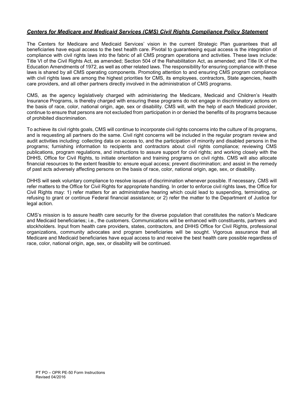#### Centers for Medicare and Medicaid Services (CMS) Civil Rights Compliance Policy Statement

The Centers for Medicare and Medicaid Services' vision in the current Strategic Plan guarantees that all beneficiaries have equal access to the best health care. Pivotal to guaranteeing equal access is the integration of compliance with civil rights laws into the fabric of all CMS program operations and activities. These laws include: Title VI of the Civil Rights Act, as amended; Section 504 of the Rehabilitation Act, as amended; and Title IX of the Education Amendments of 1972, as well as other related laws. The responsibility for ensuring compliance with these laws is shared by all CMS operating components. Promoting attention to and ensuring CMS program compliance with civil rights laws are among the highest priorities for CMS, its employees, contractors, State agencies, health care providers, and all other partners directly involved in the administration of CMS programs.

CMS, as the agency legislatively charged with administering the Medicare, Medicaid and Children's Health Insurance Programs, is thereby charged with ensuring these programs do not engage in discriminatory actions on the basis of race, color, national origin, age, sex or disability. CMS will, with the help of each Medicaid provider, continue to ensure that persons are not excluded from participation in or denied the benefits of its programs because of prohibited discrimination.

To achieve its civil rights goals, CMS will continue to incorporate civil rights concerns into the culture of its programs, and is requesting all partners do the same. Civil right concerns will be included in the regular program review and audit activities including: collecting data on access to, and the participation of minority and disabled persons in the programs; furnishing information to recipients and contractors about civil rights compliance; reviewing CMS publications, program regulations, and instructions to assure support for civil rights; and working closely with the DHHS, Office for Civil Rights, to initiate orientation and training programs on civil rights. CMS will also allocate financial resources to the extent feasible to: ensure equal access; prevent discrimination; and assist in the remedy of past acts adversely affecting persons on the basis of race, color, national origin, age, sex, or disability.

DHHS will seek voluntary compliance to resolve issues of discrimination whenever possible. If necessary, CMS will refer matters to the Office for Civil Rights for appropriate handling. In order to enforce civil rights laws, the Office for Civil Rights may: 1) refer matters for an administrative hearing which could lead to suspending, terminating, or refusing to grant or continue Federal financial assistance; or 2) refer the matter to the Department of Justice for legal action.

CMS's mission is to assure health care security for the diverse population that constitutes the nation's Medicare and Medicaid beneficiaries; i.e., the customers. Communications will be enhanced with constituents, partners and stockholders. Input from health care providers, states, contractors, and DHHS Office for Civil Rights, professional organizations, community advocates and program beneficiaries will be sought. Vigorous assurance that all Medicare and Medicaid beneficiaries have equal access to and receive the best health care possible regardless of race, color, national origin, age, sex, or disability will be continued.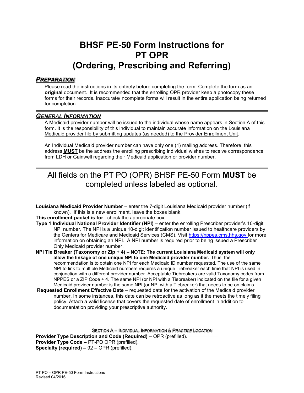### BHSF PE-50 Form Instructions for PT OPR (Ordering, Prescribing and Referring)

#### **PREPARATION**

Please read the instructions in its entirety before completing the form. Complete the form as an original document. It is recommended that the enrolling OPR provider keep a photocopy these forms for their records. Inaccurate/Incomplete forms will result in the entire application being returned for completion.

#### GENERAL INFORMATION

A Medicaid provider number will be issued to the individual whose name appears in Section A of this form. It is the responsibility of this individual to maintain accurate information on the Louisiana Medicaid provider file by submitting updates (as needed) to the Provider Enrollment Unit.

An Individual Medicaid provider number can have only one (1) mailing address. Therefore, this address MUST be the address the enrolling prescribing individual wishes to receive correspondence from LDH or Gainwell regarding their Medicaid application or provider number.

### All fields on the PT PO (OPR) BHSF PE-50 Form MUST be completed unless labeled as optional.

Louisiana Medicaid Provider Number – enter the 7-digit Louisiana Medicaid provider number (if known). If this is a new enrollment, leave the boxes blank.

This enrollment packet is for –check the appropriate box.

- Type 1 Individual National Provider Identifier (NPI) enter the enrolling Prescriber provider's 10-digit NPI number. The NPI is a unique 10-digit identification number issued to healthcare providers by the Centers for Medicare and Medicaid Services (CMS). Visit https://nppes.cms.hhs.gov for more information on obtaining an NPI. A NPI number is required prior to being issued a Prescriber Only Medicaid provider number.
- NPI Tie Breaker (Taxonomy or Zip + 4) NOTE: The current Louisiana Medicaid system will only allow the linkage of one unique NPI to one Medicaid provider number. Thus, the recommendation is to obtain one NPI for each Medicaid ID number requested. The use of the same NPI to link to multiple Medicaid numbers requires a unique Tiebreaker each time that NPI is used in conjunction with a different provider number. Acceptable Tiebreakers are valid Taxonomy codes from NPPES or a ZIP Code + 4. The same NPI (or NPI with a Tiebreaker) indicated on the file for a given Medicaid provider number is the same NPI (or NPI with a Tiebreaker) that needs to be on claims.
- Requested Enrollment Effective Date requested date for the activation of the Medicaid provider number. In some instances, this date can be retroactive as long as it the meets the timely filing policy. Attach a valid license that covers the requested date of enrollment in addition to documentation providing your prescriptive authority.

SECTION A – INDIVIDUAL INFORMATION & PRACTICE LOCATION Provider Type Description and Code (Required) – OPR (prefilled). Provider Type Code – PT-PO OPR (prefilled). **Specialty (required) –**  $92 - \text{OPR}$  **(prefilled).**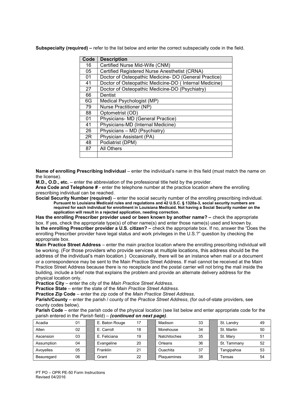Subspecialty (required) – refer to the list below and enter the correct subspecialty code in the field.

| Code | <b>Description</b>                                    |
|------|-------------------------------------------------------|
| 16   | Certified Nurse Mid-Wife (CNM)                        |
| 05   | Certified Registered Nurse Anesthetist (CRNA)         |
| 01   | Doctor of Osteopathic Medicine- DO (General Practice) |
| 41   | Doctor of Osteopathic Medicine-DO (Internal Medicine) |
| 27   | Doctor of Osteopathic Medicine-DO (Psychiatry)        |
| 66   | Dentist                                               |
| 6G   | Medical Psychologist (MP)                             |
| 79   | Nurse Practitioner (NP)                               |
| 88   | Optometrist (OD)                                      |
| 01   | Physicians- MD (General Practice)                     |
| 41   | Physicians-MD (Internal Medicine)                     |
| 26   | Physicians - MD (Psychiatry)                          |
| 2R   | Physician Assistant (PA)                              |
| 48   | Podiatrist (DPM)                                      |
| 87   | All Others                                            |
|      |                                                       |

Name of enrolling Prescribing Individual – enter the individual's name in this field (must match the name on the license).

M.D., O.D., etc. – enter the abbreviation of the professional title held by the provider.

Area Code and Telephone # - enter the telephone number at the practice location where the enrolling prescribing individual can be reached.

Social Security Number (required) – enter the social security number of the enrolling prescribing individual. Pursuant to Louisiana Medicaid rules and regulations and 42 U.S.C. § 1320a-3, social security numbers are required for each individual for enrollment in Louisiana Medicaid. Not having a Social Security number on the application will result in a rejected application, needing correction.

Has the enrolling Prescriber provider used or been known by another name? – check the appropriate box. If yes, check the appropriate type(s) of other name(s) and enter those name(s) used and known by. Is the enrolling Prescriber provider a U.S. citizen? – check the appropriate box. If no, answer the "Does the enrolling Prescriber provider have legal status and work privileges in the U.S.?" question by checking the appropriate box.

Main Practice Street Address – enter the main practice location where the enrolling prescribing individual will be working. (For those providers who provide services at multiple locations, this address should be the address of the individual's main location.) Occasionally, there will be an instance when mail or a document or a correspondence may be sent to the Main Practice Street Address. If mail cannot be received at the Main Practice Street Address because there is no receptacle and the postal carrier will not bring the mail inside the building, include a brief note that explains the problem and provide an alternate delivery address for the physical location only.

Practice City – enter the city of the Main Practice Street Address.

Practice State – enter the state of the Main Practice Street Address.

Practice Zip Code – enter the zip code of the Main Practice Street Address.

Parish/County – enter the parish / county of the Practice Street Address, (for out-of-state providers, see county codes below).

Parish Code – enter the parish code of the physical location (see list below and enter appropriate code for the parish entered in the Parish field) – (continued on next page).

| Acadia     | 01 | E. Baton Rouge | 17 | Madison             | 33 | St. Landry  | 49 |
|------------|----|----------------|----|---------------------|----|-------------|----|
| Allen      | 02 | E. Carroll     | 18 | Morehouse           | 34 | St. Martin  | 50 |
| Ascension  | 03 | E. Feliciana   | 19 | <b>Natchitoches</b> | 35 | St. Marv    | 51 |
| Assumption | 04 | Evangeline     | 20 | Orleans             | 36 | St. Tammany | 52 |
| Avoyelles  | 05 | Franklin       | 21 | Ouachita            | 37 | Tangipahoa  | 53 |
| Beauregard | 06 | Grant          | 22 | Plaquemines         | 38 | Tensas      | 54 |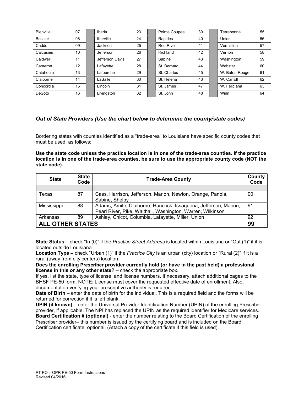| Bienville      | 07 | Iberia          | 23 | Pointe Coupee    | 39 | Terrebonne     | 55 |
|----------------|----|-----------------|----|------------------|----|----------------|----|
| <b>Bossier</b> | 08 | Iberville       | 24 | Rapides          | 40 | Union          | 56 |
| Caddo          | 09 | Jackson         | 25 | <b>Red River</b> | 41 | Vermillion     | 57 |
| Calcasieu      | 10 | Jefferson       | 26 | Richland         | 42 | Vernon         | 58 |
| Caldwell       | 11 | Jefferson Davis | 27 | Sabine           | 43 | Washington     | 59 |
| Cameron        | 12 | Lafayette       | 28 | St. Bernard      | 44 | Webster        | 60 |
| Catahoula      | 13 | Lafourche       | 29 | St. Charles      | 45 | W. Baton Rouge | 61 |
| Claiborne      | 14 | LaSalle         | 30 | St. Helena       | 46 | W. Carroll     | 62 |
| Concordia      | 15 | Lincoln         | 31 | St. James        | 47 | W. Feliciana   | 63 |
| DeSoto         | 16 | Livingston      | 32 | St. John         | 48 | Winn           | 64 |

#### Out of State Providers (Use the chart below to determine the county/state codes)

Bordering states with counties identified as a "trade-area" to Louisiana have specific county codes that must be used, as follows:

Use the state code unless the practice location is in one of the trade-area counties. If the practice location is in one of the trade-area counties, be sure to use the appropriate county code (NOT the state code).

| <b>State</b>                  | <b>State</b><br>Code | <b>Trade-Area County</b>                                                                                                      |    |  |  |
|-------------------------------|----------------------|-------------------------------------------------------------------------------------------------------------------------------|----|--|--|
|                               |                      |                                                                                                                               |    |  |  |
| Texas                         | 87                   | Cass, Harrison, Jefferson, Marion, Newton, Orange, Panola,<br>Sabine, Shelby                                                  | 90 |  |  |
| Mississippi                   | 88                   | Adams, Amite, Claiborne, Hancock, Issaquena, Jefferson, Marion,<br>Pearl River, Pike, Walthall, Washington, Warren, Wilkinson | 91 |  |  |
| Arkansas                      | 89                   | Ashley, Chicot, Columbia, Lafayette, Miller, Union                                                                            | 92 |  |  |
| <b>ALL OTHER STATES</b><br>99 |                      |                                                                                                                               |    |  |  |

State Status – check "In (0)" if the Practice Street Address is located within Louisiana or "Out (1)" if it is located outside Louisiana.

Location Type – check "Urban (1)" if the Practice City is an urban (city) location or "Rural (2)" if it is a rural (away from city centers) location.

Does the enrolling Prescriber provider currently hold (or have in the past held) a professional license in this or any other state? – check the appropriate box.

If yes, list the state, type of license, and license numbers. If necessary, attach additional pages to the BHSF PE-50 form. NOTE: License must cover the requested effective date of enrollment. Also, documentation verifying your prescriptive authority is required.

Date of Birth – enter the date of birth for the individual. This is a required field and the forms will be returned for correction if it is left blank.

UPIN (if known) – enter the Universal Provider Identification Number (UPIN) of the enrolling Prescriber provider, if applicable. The NPI has replaced the UPIN as the required identifier for Medicare services. Board Certification # (optional) - enter the number relating to the Board Certification of the enrolling Prescriber provider– this number is issued by the certifying board and is included on the Board Certification certificate, optional. (Attach a copy of the certificate if this field is used).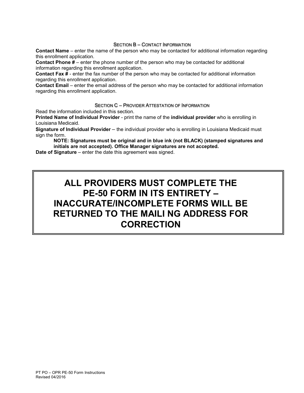#### SECTION B – CONTACT INFORMATION

Contact Name – enter the name of the person who may be contacted for additional information regarding this enrollment application.

Contact Phone # – enter the phone number of the person who may be contacted for additional information regarding this enrollment application.

**Contact Fax**  $\sharp$  - enter the fax number of the person who may be contacted for additional information regarding this enrollment application.

Contact Email – enter the email address of the person who may be contacted for additional information regarding this enrollment application.

#### SECTION C – PROVIDER ATTESTATION OF INFORMATION

Read the information included in this section.

Printed Name of Individual Provider - print the name of the individual provider who is enrolling in Louisiana Medicaid.

Signature of Individual Provider – the individual provider who is enrolling in Louisiana Medicaid must sign the form.

NOTE: Signatures must be original and in blue ink (not BLACK) (stamped signatures and initials are not accepted). Office Manager signatures are not accepted.

Date of Signature – enter the date this agreement was signed.

### ALL PROVIDERS MUST COMPLETE THE PE-50 FORM IN ITS ENTIRETY – INACCURATE/INCOMPLETE FORMS WILL BE RETURNED TO THE MAILI NG ADDRESS FOR **CORRECTION**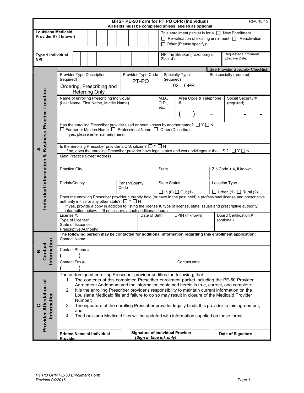|                                                     |                                                                                                                                                                                                                                   |                             | BHSF PE-50 Form for PT PO OPR (Individual)<br>All fields must be completed unless labeled as optional | Rev. 10/15                                                                                                                                                                                                                                                                                |  |  |  |  |
|-----------------------------------------------------|-----------------------------------------------------------------------------------------------------------------------------------------------------------------------------------------------------------------------------------|-----------------------------|-------------------------------------------------------------------------------------------------------|-------------------------------------------------------------------------------------------------------------------------------------------------------------------------------------------------------------------------------------------------------------------------------------------|--|--|--|--|
| Louisiana Medicaid<br>Provider # (if known)         |                                                                                                                                                                                                                                   |                             | $\Box$ Other (Please specify):                                                                        | This enrollment packet is for a $\Box$ New Enrollment<br>$\Box$ Re-validation of existing enrollment $\Box$ Reactivation                                                                                                                                                                  |  |  |  |  |
| Type 1 Individual<br><b>NPI</b>                     |                                                                                                                                                                                                                                   |                             | NPI Tie Breaker (Taxonomy or<br>$Zip + 4)$                                                            | <b>Requested Enrollment</b><br>Effective Date:                                                                                                                                                                                                                                            |  |  |  |  |
|                                                     | Provider Type Description<br>(required)<br>Ordering, Prescribing and<br><b>Referring Only</b>                                                                                                                                     | Provider Type Code<br>PT-PO | Specialty Type<br>(required)<br>$92 -$ OPR                                                            | See Provider Specialty Checklist<br>Subspecialty (required)                                                                                                                                                                                                                               |  |  |  |  |
| Individual Information & Business Practice Location | Name of enrolling Prescribing Individual<br>(Last Name, First Name, Middle Name)                                                                                                                                                  |                             | Area Code & Telephone<br>M.D.,<br>O.D.,<br>#<br>etc.                                                  | Social Security #<br>(required)                                                                                                                                                                                                                                                           |  |  |  |  |
|                                                     | Has the enrolling Prescriber provider used or been known by another name? $\Box$ Y $\Box$ N<br>$\Box$ Former or Maiden Name $\Box$ Professional Name $\Box$ Other (Describe):<br>If yes, please enter name(s) here:               |                             |                                                                                                       |                                                                                                                                                                                                                                                                                           |  |  |  |  |
|                                                     | Is the enrolling Prescriber provider a U.S. citizen? $\Box Y \Box N$<br>If no, does the enrolling Prescriber provider have legal status and work privileges in the U.S.? $\Box$ Y $\Box$ N<br><b>Main Practice Street Address</b> |                             |                                                                                                       |                                                                                                                                                                                                                                                                                           |  |  |  |  |
|                                                     | <b>Practice City</b>                                                                                                                                                                                                              |                             | <b>State</b>                                                                                          | Zip Code + 4, if known                                                                                                                                                                                                                                                                    |  |  |  |  |
|                                                     | Parish/County                                                                                                                                                                                                                     | Parish/County<br>Code       | <b>State Status</b><br>$\Box$ In (0) $\Box$ Out (1)                                                   | <b>Location Type</b><br>$\Box$ Urban (1) $\Box$ Rural (2)                                                                                                                                                                                                                                 |  |  |  |  |
|                                                     | authority in this or any other state? $\Box Y \Box N$<br>information below: (If necessary, attach additional page.)                                                                                                               |                             |                                                                                                       | Does the enrolling Prescriber provider currently hold (or have in the past held) a professional license and prescriptive<br>If yes, provide a copy in addition to listing the license #, type of license, state issued and prescriptive authority                                         |  |  |  |  |
|                                                     | License #:<br>Type of License:<br>State of Issuance:<br>Prescriptive Authority:                                                                                                                                                   | Date of Birth               | UPIN (if known)                                                                                       | Board Certification #<br>(optional)                                                                                                                                                                                                                                                       |  |  |  |  |
|                                                     | The following person may be contacted for additional information regarding this enrollment application:<br>Contact Name:                                                                                                          |                             |                                                                                                       |                                                                                                                                                                                                                                                                                           |  |  |  |  |
| Information<br>Contact<br>മ                         | Contact Phone #<br>Contact Fax #                                                                                                                                                                                                  |                             | Contact email:                                                                                        |                                                                                                                                                                                                                                                                                           |  |  |  |  |
|                                                     | The undersigned enrolling Prescriber provider certifies the following, that:<br>1.                                                                                                                                                |                             |                                                                                                       | The contents of this completed Prescriber enrollment packet including the PE-50 Provider                                                                                                                                                                                                  |  |  |  |  |
|                                                     | 2.<br>Number;                                                                                                                                                                                                                     |                             |                                                                                                       | Agreement Addendum and the information contained herein is true, correct, and complete;<br>It is the enrolling Prescriber provider's responsibility to maintain current information on the<br>Louisiana Medicaid file and failure to do so may result in closure of the Medicaid Provider |  |  |  |  |
| Provider Attestation of<br>Information              | 3.<br>and<br>4.                                                                                                                                                                                                                   |                             | The Louisiana Medicaid files will be updated with information supplied on these forms.                | The signature of the enrolling Prescriber provider legally binds this provider to this agreement;                                                                                                                                                                                         |  |  |  |  |
|                                                     | <b>Printed Name of Individual</b><br>Provider                                                                                                                                                                                     |                             | <b>Signature of Individual Provider</b><br>(Sign in blue ink only)                                    | Date of Signature                                                                                                                                                                                                                                                                         |  |  |  |  |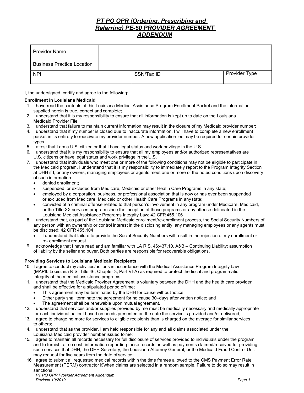#### PT PO OPR (Ordering, Prescribing and Referring) PE-50 PROVIDER AGREEMENT ADDENDUM

| <b>Provider Name</b>              |            |               |
|-----------------------------------|------------|---------------|
| <b>Business Practice Location</b> |            |               |
| <b>NPI</b>                        | SSN/Tax ID | Provider Type |

I, the undersigned, certify and agree to the following:

#### Enrollment in Louisiana Medicaid

- 1. I have read the contents of this Louisiana Medical Assistance Program Enrollment Packet and the information supplied herein is true, correct and complete;
- 2. I understand that it is my responsibility to ensure that all information is kept up to date on the Louisiana Medicaid Provider File;
- 3. I understand that failure to maintain current information may result in the closure of my Medicaid provider number;
- 4. I understand that if my number is closed due to inaccurate information, I will have to complete a new enrollment packet in its entirety to reactivate my provider number. A new application fee may be required for certain provider types.
- 5. I attest that I am a U.S. citizen or that I have legal status and work privilege in the U.S.
- 6. I understand that it is my responsibility to ensure that all my employees and/or authorized representatives are U.S. citizens or have legal status and work privilege in the U.S.
- 7. I understand that individuals who meet one or more of the following conditions may not be eligible to participate in the Medicaid program. I understand that it is my responsibility to immediately report to the Program Integrity Section at DHH if I, or any owners, managing employees or agents meet one or more of the noted conditions upon discovery of such information.
	- denied enrollment;
	- suspended, or excluded from Medicare, Medicaid or other Health Care Programs in any state;
	- employed by a corporation, business, or professional association that is now or has ever been suspended or excluded from Medicare, Medicaid or other Health Care Programs in any state;
	- convicted of a criminal offense related to that person's involvement in any program under Medicare, Medicaid, or the Title XX services program since the inception of those programs or any offense delineated in the Louisiana Medical Assistance Programs Integrity Law; 42 CFR 455.106
- 8. I understand that, as part of the Louisiana Medicaid enrollment/re-enrollment process, the Social Security Numbers of any person with an ownership or control interest in the disclosing entity, any managing employees or any agents must be disclosed; 42 CFR 455.104
	- I understand that failure to provide the Social Security Numbers will result in the rejection of my enrollment or re- enrollment request.
- 9. I acknowledge that I have read and am familiar with LA R.S. 46:437.10. A&B Continuing Liability; assumption of liability by the seller and buyer. Both parties are responsible for recoverable obligations.

#### Providing Services to Louisiana Medicaid Recipients

- 10. I agree to conduct my activities/actions in accordance with the Medical Assistance Program Integrity Law (MAPIL Louisiana R.S. Title 46, Chapter 3, Part VI-A) as required to protect the fiscal and programmatic integrity of the medical assistance programs;
- 11. I understand that the Medicaid Provider Agreement is voluntary between the DHH and the health care provider and shall be effective for a stipulated period of time;
	- This agreement may be terminated by the DHH for cause without notice;
	- Either party shall terminate the agreement for no cause 30–days after written notice; and
	- The agreement shall be renewable upon mutual agreement.
- 12. I understand that services and/or supplies provided by me must be medically necessary and medically appropriate for each individual patient based on needs presented on the date the service is provided and/or delivered;
- 13. I agree to charge no more for services to eligible recipients than is charged on the average for similar services to others;
- 14. I understand that as the provider, I am held responsible for any and all claims associated under the Louisiana Medicaid provider number issued to me;
- 15. I agree to maintain all records necessary for full disclosure of services provided to individuals under the program and to furnish, at no cost, information regarding those records as well as payments claimed/received for providing such services that DHH, the DHH Secretary, the Louisiana Attorney General, or the Medicaid Fraud Control Unit may request for five years from the date of service;
- 16. I agree to submit all requested medical records within the time frames allowed to the CMS Payment Error Rate Measurement (PERM) contractor if/when claims are selected in a random sample. Failure to do so may result in sanctions;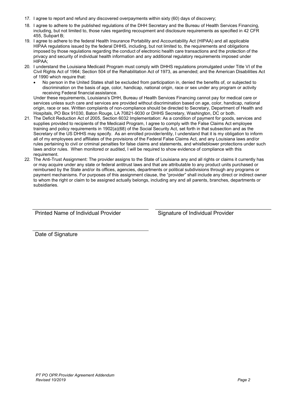- 17. I agree to report and refund any discovered overpayments within sixty (60) days of discovery;
- 18. I agree to adhere to the published regulations of the DHH Secretary and the Bureau of Health Services Financing, including, but not limited to, those rules regarding recoupment and disclosure requirements as specified in 42 CFR 455, Subpart B;
- 19. I agree to adhere to the federal Health Insurance Portability and Accountability Act (HIPAA) and all applicable HIPAA regulations issued by the federal DHHS, including, but not limited to, the requirements and obligations imposed by those regulations regarding the conduct of electronic health care transactions and the protection of the privacy and security of individual health information and any additional regulatory requirements imposed under HIPAA;
- 20. I understand the Louisiana Medicaid Program must comply with DHHS regulations promulgated under Title VI of the Civil Rights Act of 1964; Section 504 of the Rehabilitation Act of 1973, as amended; and the American Disabilities Act of 1990 which require that:
	- No person in the United States shall be excluded from participation in, denied the benefits of, or subjected to discrimination on the basis of age, color, handicap, national origin, race or sex under any program or activity receiving Federal financial assistance.

Under these requirements, Louisiana's DHH, Bureau of Health Services Financing cannot pay for medical care or services unless such care and services are provided without discrimination based on age, color, handicap, national origin, race or sex. Written complaints of non-compliance should be directed to Secretary, Department of Health and Hospitals, PO Box 91030, Baton Rouge, LA 70821-9030 or DHHS Secretary, Washington, DC or both.

- 21. The Deficit Reduction Act of 2005, Section 6032 Implementation: As a condition of payment for goods, services and supplies provided to recipients of the Medicaid Program, I agree to comply with the False Claims Act employee training and policy requirements in 1902(a)(68) of the Social Security Act, set forth in that subsection and as the Secretary of the US DHHS may specify. As an enrolled provider/entity, I understand that it is my obligation to inform all of my employees and affiliates of the provisions of the Federal False Claims Act, and any Louisiana laws and/or rules pertaining to civil or criminal penalties for false claims and statements, and whistleblower protections under such laws and/or rules. When monitored or audited, I will be required to show evidence of compliance with this requirement.
- 22. The Anti-Trust Assignment: The provider assigns to the State of Louisiana any and all rights or claims it currently has or may acquire under any state or federal antitrust laws and that are attributable to any product units purchased or reimbursed by the State and/or its offices, agencies, departments or political subdivisions through any programs or payment mechanisms. For purposes of this assignment clause, the "provider" shall include any direct or indirect owner to whom the right or claim to be assigned actually belongs, including any and all parents, branches, departments or subsidiaries.

Printed Name of Individual Provider Signature of Individual Provider

Date of Signature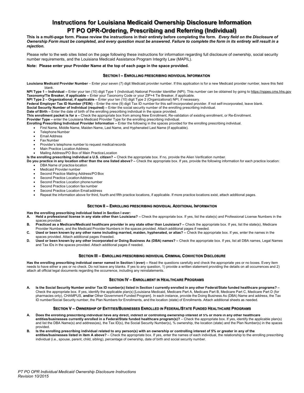#### Instructions for Louisiana Medicaid Ownership Disclosure Information PT PO OPR-Ordering, Prescribing and Referring (Individual)

This is a multi-page form. Please review the instructions in their entirety before completing the form. Every field on the Disclosure of Ownership Form must be completed, and every question must be answered. Failure to complete the form in its entirety will result in a rejection.

Please refer to the web sites listed on the page following these instructions for information regarding full disclosure of ownership, social security number requirements, and the Louisiana Medicaid Assistance Program Integrity Law (MAPIL).

#### Note: Please enter your Provider Name at the top of each page in the space provided.

#### SECTION I – ENROLLING PRESCRIBING INDIVIDUAL INFORMATION

Louisiana Medicaid Provider Number - Enter your seven (7) digit Medicaid provider number. If this application is for a new Medicaid provider number, leave this field blank.

NPI Type 1 - Individual - Enter your ten (10) digit Type 1 (Individual) National Provider Identifier (NPI). This number can be obtained by going to https://nppes.cms.hhs.gov Taxonomy/Tie Breaker, if applicable – Enter your Taxonomy Code or your ZIP+4 Tie Breaker, if applicable.

NPI Type 2 – Organizational, if applicable – Enter your ten (10) digit Type 2 (Organizational) NPI, if necessary.

Federal Employer Tax ID Number (FEIN) – Enter the nine (9) digit Tax ID number for this self-incorporated provider. If not self-incorporated, leave blank.

Social Security Number of Individual (required) – Enter the social security number of the enrolling prescribing individual.

Date of Birth – Enter the date of birth of the enrolling prescribing individual in the space provided.

This enrollment packet is for a - Check the appropriate box from among New Enrollment, Re-validation of existing enrollment, or Re-Enrollment.

Provider Type – enter the Louisiana Medicaid Provider Type for the enrolling prescribing individual.

Enrolling Prescribing Individual Provider Information – Enter the following in the spaces provided for the enrolling prescribing individual.

First Name, Middle Name, Maiden Name, Last Name, and Hyphenated Last Name (if applicable).

- Telephone Number
- Email Address
- Fax Number
- Provider's telephone number to request medical records
- Main Practice Location Address
- Mailing Address/PO Box of Main Practice Location

Is the enrolling prescribing individual a U.S. citizen? - Check the appropriate box. If no, provide the Alien Verification number.

Do you practice in any location other than the one listed above? - Check the appropriate box. If yes, provide the following information for each practice location:

- DBA Name of practice location
- Medicaid Provider number
- Second Practice Mailing Address/PO Box
- Second Practice Location Address
- Second Practice Location phone number
- Second Practice Location fax number
- Second Practice Location Email address
- Repeat the information above for third, fourth and fifth practice locations, if applicable. If more practice locations exist, attach additional pages.

#### SECTION II – ENROLLING PRESCRIBING INDIVIDUAL ADDITIONAL INFORMATION

- Has the enrolling prescribing individual listed in Section I ever:
- A. Held a professional license in any state other than Louisiana? Check the appropriate box. If yes, list the state(s) and Professional License Numbers in the spaces provided.
- B. Practiced as a Medicare/Medicaid healthcare provider in any state other than Louisiana? Check the appropriate box. If yes, list the state(s), Medicare
- Provider Numbers, and the Medicaid Provider Numbers in the spaces provided. Attach additional pages if needed. C. Used or been known by any other name including married, maiden, hyphenated, or alias? – Check the appropriate box. If yes, enter the names in the
- spaces provided. Attach additional pages if needed. D. Used or been known by any other incorporated or Doing Business As (DBA) names? - Check the appropriate box. If yes, list all DBA names, Legal Names and Tax IDs in the spaces provided. Attach additional pages if needed.

#### SECTION III – ENROLLING PRESCRIBING INDIVIDUAL CRIMINAL CONVICTION DISCLOSURE

Has the enrolling prescribing individual owner named in Section I (ever) - Read the questions carefully and check the appropriate yes or no boxes. Every item needs to have either a yes or no check. Do not leave any blanks. If yes to any question, 1) provide a written statement providing the details on all occurrences and 2) attach all official legal documents regarding the occurrence, including any reinstatements.

#### SECTION IV – ENROLLMENT IN HEALTHCARE PROGRAMS

A. Is the Social Security Number and/or Tax ID number(s) listed in Section I currently enrolled in any other Federal/State funded healthcare programs? -Check the appropriate box. If yes, identify the applicable plan(s) [Louisiana Medicaid, Medicare Part A, Medicare Part B, Medicare Part C, Medicare Part D (for pharmacies only), CHAMPUS, and/or Other Government Funded Program]. In each instance, provide the Doing Business As (DBA) Name and address, the Tax ID number/Social Security number, the Plan Numbers for Enrollments, and the location (state) of Enrollments. Attach additional sheets as needed.

#### SECTION V – OWNERSHIP OF ENTITIES/BUSINESSES ENROLLED IN FEDERAL/STATE FUNDED HEALTHCARE PROGRAMS

- A. Does the enrolling prescribing individual have any direct, indirect or controlling ownership interest of 5% or more in any other healthcare<br>entities/businesses currently enrolled in a Federal/State funded healthcare pro and list the DBA Name(s) and address(es), the Tax ID(s), the Social Security Number(s), % ownership, the location (state) and the Plan Number(s) in the spaces provided.
- B. Is the enrolling prescribing individual related to any person(s) with an ownership or controlling interest of 5% or greater in any of the entities/businesses listed in item A above? – Check the appropriate box. If yes, enter the names of each individual, the relationship to the enrolling prescribing individual (i.e., spouse, parent, child, sibling), percentage of ownership, date of birth and social security number.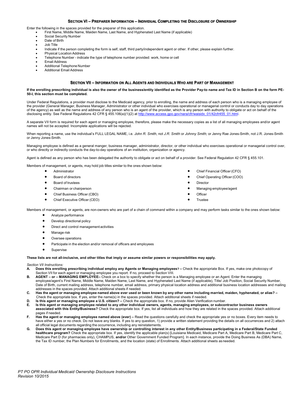#### SECTION VI – PREPARER INFORMATION – INDIVIDUAL COMPLETING THE DISCLOSURE OF OWNERSHIP

Enter the following in the spaces provided for the preparer of this application.

- First Name, Middle Name, Maiden Name, Last Name, and Hyphenated Last Name (if applicable)
- Social Security Number
- Date of Birth
- Job Title
- Indicate if the person completing the form is self, staff, third party/independent agent or other. If other, please explain further.
- Physical Location Address
- Telephone Number indicate the type of telephone number provided: work, home or cell
- Email Address
- Additional Telephone Number
- Additional Email Address

#### SECTION VII – INFORMATION ON ALL AGENTS AND INDIVIDUALS WHO ARE PART OF MANAGEMENT

#### If the enrolling prescribing individual is also the owner of the business/entity identified as the Provider Pay-to name and Tax ID in Section B on the form PE-50-I, this section must be completed.

Under Federal Regulations, a provider must disclose to the Medicaid agency, prior to enrolling, the name and address of each person who is a managing employee of the provider (General Manager, Business Manager, Administrator or other individual who exercises operational or managerial control or conducts day to day operations of the agency) as well as the name and address of any person who is an agent of the provider, which is any person with authority to obligate or act on behalf of the disclosing entity. See Federal Regulations 42 CFR § 455.106(a)(1)(2) at http://www.access.gpo.gov/nara/cfr/waisidx\_01/42cfr455\_01.html.

A separate VII form is required for each agent or managing employee, therefore, please make the necessary copies as a list of all managing employees and/or agent names will not be accepted. Incomplete applications will be rejected.

When reporting a name, use the individual's FULL LEGAL NAME, i.e. John R. Smith, not J.R. Smith or Johnny Smith; or Jenny Rae Jones-Smith, not J.R. Jones-Smith or Jenny Jones-Smith.

Managing employee is defined as a general manger, business manager, administrator, director, or other individual who exercises operational or managerial control over, or who directly or indirectly conducts the day-to-day operations of an institution, organization or agency.

Agent is defined as any person who has been delegated the authority to obligate or act on behalf of a provider. See Federal Regulation 42 CFR § 455.101.

Members of management, or agents, may hold job titles similar to the ones shown below:

- **•** Administrator
- Board of directors
- Board of trustees
- Chairman or chairperson
- Chief Business Officer (CBO)
- 
- 
- Administrator<br>
Board of directors<br>
Board of trustees<br>
Chief Operating Officer (COO)<br>
Chief Operating Officer (COO)<br>
Chief Business Officer (CBO)<br>
Chief Executive Officer (CEO)<br>
Chief Executive Officer (CEO
	-
	-
	-
	-

Members of management, or agents, are non-owners who are part of a chain of command within a company and may perform tasks similar to the ones shown below:

- Analyze performance
- Develop directional policy
- Direct and control management activities
- Manage risk
- Oversee operations
- Participate in the election and/or removal of officers and employees
- Supervise

These lists are not all-inclusive, and other titles that imply or assume similar powers or responsibilities may apply.

Section VII Instructions:

- A. Does this enrolling prescribing individual employ any Agents or Managing employees? Check the appropriate Box. If yes, make one photocopy of Section VII for each agent or managing employee you report. If no, proceed to Section VIII.
- B. AGENT or MANAGING EMPLOYEE– Check on a box to specify whether the person is a Managing employee or an Agent. Enter the managing employee/agent's First Name, Middle Name, Maiden Name, Last Name, and Hyphenated Last Name (if applicable), Title/ Job Position, Social Security Number, Date of Birth, current mailing address, telephone number, email address, primary physical location address and additional business location addresses and mailing addresses in the spaces provided. Attach additional sheets if needed.
- C. Has the agent or managing employee named above ever used or been known by any other name including married, maiden, hyphenated, or alias? Check the appropriate box. If yes, enter the name(s) in the spaces provided. Attach additional sheets if needed.
- D. Is this agent or managing employee a U.S. citizen? Check the appropriate box. If no, provide Alien Verification number.
- E. Is this agent or managing employee related to any other individual owners, agents, managing employees, or subcontractor business owners associated with this Entity/Business? Check the appropriate box. If yes, list all individuals and how they are related in the spaces provided. Attach additional pages if needed.
- F. Has the agent or managing employee named above (ever) Read the questions carefully and check the appropriate yes or no boxes. Every item needs to have either a yes or no check. Do not leave any blanks. If yes to any question, 1) provide a written statement providing the details on all occurrences and 2) attach all official legal documents regarding the occurrence, including any reinstatements.
- G. Does this agent or managing employee have ownership or controlling interest in any other Entity/Business participating in a Federal/State Funded healthcare program? Check the appropriate box. If yes, identify the applicable plan(s) [Louisiana Medicaid, Medicare Part A, Medicare Part B, Medicare Part C, Medicare Part D (for pharmacies only), CHAMPUS, and/or Other Government Funded Program]. In each instance, provide the Doing Business As (DBA) Name, the Tax ID number, the Plan Numbers for Enrollments, and the location (state) of Enrollments. Attach additional sheets as needed.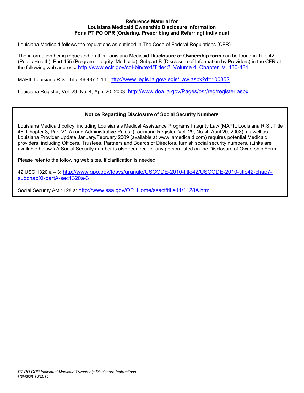#### Reference Material for Louisiana Medicaid Ownership Disclosure Information For a PT PO OPR (Ordering, Prescribing and Referring) Individual

Louisiana Medicaid follows the regulations as outlined in The Code of Federal Regulations (CFR).

The information being requested on this Louisiana Medicaid Disclosure of Ownership form can be found in Title 42 (Public Health), Part 455 (Program Integrity: Medicaid), Subpart B (Disclosure of Information by Providers) in the CFR at the following web address: http://www.ecfr.gov/cgi-bin/text/Title42\_Volume 4\_Chapter IV\_430-481

MAPIL Louisiana R.S., Title 46:437.1-14. http://www.legis.la.gov/legis/Law.aspx?d=100852

Louisiana Register, Vol. 29, No. 4, April 20, 2003: http://www.doa.la.gov/Pages/osr/reg/register.aspx

#### Notice Regarding Disclosure of Social Security Numbers

Louisiana Medicaid policy, including Louisiana's Medical Assistance Programs Integrity Law (MAPIL Louisiana R.S., Title 46, Chapter 3, Part V1-A) and Administrative Rules, (Louisiana Register, Vol. 29, No. 4, April 20, 2003), as well as Louisiana Provider Update January/February 2009 (available at www.lamedicaid.com) requires potential Medicaid providers, including Officers, Trustees, Partners and Boards of Directors, furnish social security numbers. (Links are available below.) A Social Security number is also required for any person listed on the Disclosure of Ownership Form.

Please refer to the following web sites, if clarification is needed:

42 USC 1320 a – 3: http://www.gpo.gov/fdsys/granule/USCODE-2010-title42/USCODE-2010-title42-chap7 subchapXI-partA-sec1320a-3

Social Security Act 1128 a: http://www.ssa.gov/OP\_Home/ssact/title11/1128A.htm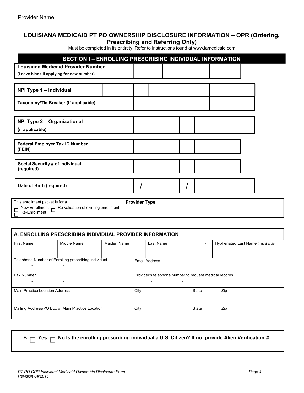#### LOUISIANA MEDICAID PT PO OWNERSHIP DISCLOSURE INFORMATION – OPR (Ordering, Prescribing and Referring Only)

Must be completed in its entirety. Refer to Instructions found at www.lamedicaid.com

| <b>SECTION I - ENROLLING PRESCRIBING INDIVIDUAL INFORMATION</b>                                                                               |                       |  |  |  |
|-----------------------------------------------------------------------------------------------------------------------------------------------|-----------------------|--|--|--|
| <b>Louisiana Medicaid Provider Number</b><br>(Leave blank if applying for new number)                                                         |                       |  |  |  |
| NPI Type 1 - Individual                                                                                                                       |                       |  |  |  |
| Taxonomy/Tie Breaker (if applicable)                                                                                                          |                       |  |  |  |
| <b>NPI Type 2 - Organizational</b><br>(if applicable)                                                                                         |                       |  |  |  |
| <b>Federal Employer Tax ID Number</b><br>(FEIN)                                                                                               |                       |  |  |  |
| Social Security # of Individual<br>(required)                                                                                                 |                       |  |  |  |
| Date of Birth (required)                                                                                                                      |                       |  |  |  |
| This enrollment packet is for a<br>New Enrollment $\Box$ Re-validation of existing enrollment<br>$\Box$ New Enrollmen<br>$\Box$ Re-Enrollment | <b>Provider Type:</b> |  |  |  |

#### A. ENROLLING PRESCRIBING INDIVIDUAL PROVIDER INFORMATION First Name Middle Name Maiden Name Last Name Last Name - Hyphenated Last Name (if applicable) Telephone Number of Enrolling prescribing individual - - Email Address Fax Number - - Provider's telephone number to request medical records - - Main Practice Location Address **City** City City State Zip Mailing Address/PO Box of Main Practice Location City City State Zip

- 
- B.  $\Box$  Yes  $\Box$  No Is the enrolling prescribing individual a U.S. Citizen? If no, provide Alien Verification #

\_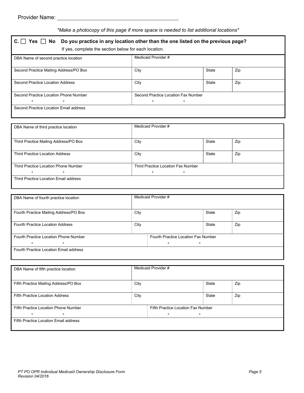#### \*Make a photocopy of this page if more space is needed to list additional locations\*

| If yes, complete the section below for each location.   |                     |                                          |     |  |  |  |  |  |
|---------------------------------------------------------|---------------------|------------------------------------------|-----|--|--|--|--|--|
| DBA Name of second practice location                    | Medicaid Provider # |                                          |     |  |  |  |  |  |
| Second Practice Mailing Address/PO Box                  | City                | State                                    | Zip |  |  |  |  |  |
| Second Practice Location Address                        | City                | State                                    | Zip |  |  |  |  |  |
| Second Practice Location Phone Number<br>$\blacksquare$ |                     | Second Practice Location Fax Number<br>- |     |  |  |  |  |  |

| DBA Name of third practice location    | Medicaid Provider # |                                    |     |  |  |  |
|----------------------------------------|---------------------|------------------------------------|-----|--|--|--|
|                                        |                     |                                    |     |  |  |  |
| Third Practice Mailing Address/PO Box  | City                | State                              | Zip |  |  |  |
| <b>Third Practice Location Address</b> |                     | State                              |     |  |  |  |
|                                        | City                |                                    | Zip |  |  |  |
| Third Practice Location Phone Number   |                     | Third Practice Location Fax Number |     |  |  |  |
| ٠                                      |                     | ٠                                  |     |  |  |  |
| Third Practice Location Email address  |                     |                                    |     |  |  |  |
|                                        |                     |                                    |     |  |  |  |

| DBA Name of fourth practice location       |                                                       | Medicaid Provider # |       |     |  |  |
|--------------------------------------------|-------------------------------------------------------|---------------------|-------|-----|--|--|
| Fourth Practice Mailing Address/PO Box     | City                                                  |                     | State | Zip |  |  |
| <b>Fourth Practice Location Address</b>    | City                                                  |                     | State | Zip |  |  |
| Fourth Practice Location Phone Number<br>۰ | Fourth Practice Location Fax Number<br>$\blacksquare$ |                     |       |     |  |  |
| Fourth Practice Location Email address     |                                                       |                     |       |     |  |  |

| DBA Name of fifth practice location    |      | Medicaid Provider #                |                |     |  |  |  |
|----------------------------------------|------|------------------------------------|----------------|-----|--|--|--|
| Fifth Practice Mailing Address/PO Box  | City |                                    | State          | Zip |  |  |  |
| <b>Fifth Practice Location Address</b> | City |                                    | State          | Zip |  |  |  |
| Fifth Practice Location Phone Number   |      | Fifth Practice Location Fax Number |                |     |  |  |  |
| $\sim$<br>$\blacksquare$               |      |                                    | $\blacksquare$ |     |  |  |  |
| Fifth Practice Location Email address  |      |                                    |                |     |  |  |  |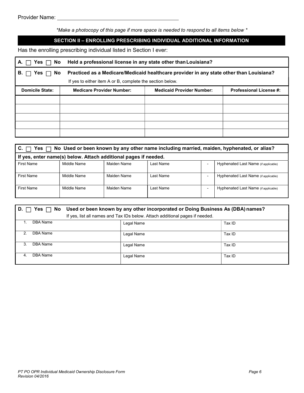\*Make a photocopy of this page if more space is needed to respond to all items below \*

#### SECTION II – ENROLLING PRESCRIBING INDIVIDUAL ADDITIONAL INFORMATION

Has the enrolling prescribing individual listed in Section I ever:

| Yes<br>А.                                                 | Held a professional license in any state other than Louisiana?<br>No. |                                                                                         |                                |  |  |  |  |  |
|-----------------------------------------------------------|-----------------------------------------------------------------------|-----------------------------------------------------------------------------------------|--------------------------------|--|--|--|--|--|
| <b>No</b><br>В.<br>Yes                                    |                                                                       | Practiced as a Medicare/Medicaid healthcare provider in any state other than Louisiana? |                                |  |  |  |  |  |
| If yes to either item A or B, complete the section below. |                                                                       |                                                                                         |                                |  |  |  |  |  |
| <b>Domicile State:</b>                                    | <b>Medicare Provider Number:</b>                                      | <b>Medicaid Provider Number:</b>                                                        | <b>Professional License #:</b> |  |  |  |  |  |
|                                                           |                                                                       |                                                                                         |                                |  |  |  |  |  |
|                                                           |                                                                       |                                                                                         |                                |  |  |  |  |  |
|                                                           |                                                                       |                                                                                         |                                |  |  |  |  |  |
|                                                           |                                                                       |                                                                                         |                                |  |  |  |  |  |
|                                                           |                                                                       |                                                                                         |                                |  |  |  |  |  |

| No Used or been known by any other name including married, maiden, hyphenated, or alias?<br>Yes l<br>С. |             |             |           |  |                                      |  |  |
|---------------------------------------------------------------------------------------------------------|-------------|-------------|-----------|--|--------------------------------------|--|--|
| If yes, enter name(s) below. Attach additional pages if needed.                                         |             |             |           |  |                                      |  |  |
| <b>First Name</b>                                                                                       | Middle Name | Maiden Name | Last Name |  | Hyphenated Last Name (if applicable) |  |  |
| <b>First Name</b>                                                                                       | Middle Name | Maiden Name | Last Name |  | Hyphenated Last Name (if applicable) |  |  |
| First Name                                                                                              | Middle Name | Maiden Name | Last Name |  | Hyphenated Last Name (if applicable) |  |  |

| D. I          |          | No Used or been known by any other incorporated or Doing Business As (DBA) names? |                                                                              |        |  |  |  |
|---------------|----------|-----------------------------------------------------------------------------------|------------------------------------------------------------------------------|--------|--|--|--|
|               |          |                                                                                   | If yes, list all names and Tax IDs below. Attach additional pages if needed. |        |  |  |  |
|               | DBA Name |                                                                                   | Legal Name                                                                   | Tax ID |  |  |  |
| $\mathcal{P}$ | DBA Name |                                                                                   | Legal Name                                                                   | Tax ID |  |  |  |
| 3.            | DBA Name |                                                                                   | Legal Name                                                                   | Tax ID |  |  |  |
|               | DBA Name |                                                                                   | Legal Name                                                                   | Tax ID |  |  |  |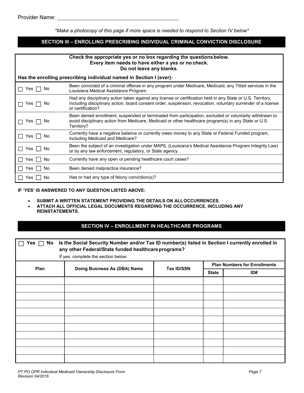\*Make a photocopy of this page if more space is needed to respond to Section IV below\*

#### SECTION III - ENROLLING PRESCRIBING INDIVIDUAL CRIMINAL CONVICTION DISCLOSURE

| Check the appropriate yes or no box regarding the questions below.<br>Every item needs to have either a yes or no check.<br>Do not leave any blanks. |                                                                                                                                                                                                                                                  |  |  |  |  |  |
|------------------------------------------------------------------------------------------------------------------------------------------------------|--------------------------------------------------------------------------------------------------------------------------------------------------------------------------------------------------------------------------------------------------|--|--|--|--|--|
|                                                                                                                                                      | Has the enrolling prescribing individual named in Section I (ever):                                                                                                                                                                              |  |  |  |  |  |
| Yes  <br>No                                                                                                                                          | Been convicted of a criminal offense in any program under Medicare, Medicaid, any Titled services in the<br>Louisiana Medical Assistance Program.                                                                                                |  |  |  |  |  |
| Yes I<br>.No                                                                                                                                         | Had any disciplinary action taken against any license or certification held in any State or U.S. Territory,<br>including disciplinary action, board consent order, suspension, revocation, voluntary surrender of a license<br>or certification? |  |  |  |  |  |
| Yes    <br>. No                                                                                                                                      | Been denied enrollment, suspended or terminated from participation, excluded or voluntarily withdrawn to<br>avoid disciplinary action from Medicare, Medicaid or other healthcare program(s) in any State or U.S.<br>Territory?                  |  |  |  |  |  |
| Yes     No                                                                                                                                           | Currently have a negative balance or currently owes money to any State or Federal Funded program,<br>including Medicaid and Medicare?                                                                                                            |  |  |  |  |  |
| Yes II<br>. No                                                                                                                                       | Been the subject of an investigation under MAPIL (Louisiana's Medical Assistance Program Integrity Law)<br>or by any law enforcement, regulatory, or State agency.                                                                               |  |  |  |  |  |
| No<br>Yes                                                                                                                                            | Currently have any open or pending healthcare court cases?                                                                                                                                                                                       |  |  |  |  |  |
| . No<br>Yes I I                                                                                                                                      | Been denied malpractice insurance?                                                                                                                                                                                                               |  |  |  |  |  |
| No<br>Yes                                                                                                                                            | Has or had any type of felony conviction(s)?                                                                                                                                                                                                     |  |  |  |  |  |

#### IF 'YES' IS ANSWERED TO ANY QUESTION LISTED ABOVE:

- **SUBMIT A WRITTEN STATEMENT PROVIDING THE DETAILS ON ALL OCCURRENCES.**
- ATTACH ALL OFFICIAL LEGAL DOCUMENTS REGARDING THE OCCURRENCE, INCLUDING ANY REINSTATEMENTS.

#### SECTION IV – ENROLLMENT IN HEALTHCARE PROGRAMS

| Is the Social Security Number and/or Tax ID number(s) listed in Section I currently enrolled in<br>No<br>Yes.<br>any other Federal/State funded healthcare programs?<br>If yes, complete the section below. |                              |                   |              |                                     |  |  |  |
|-------------------------------------------------------------------------------------------------------------------------------------------------------------------------------------------------------------|------------------------------|-------------------|--------------|-------------------------------------|--|--|--|
| Plan                                                                                                                                                                                                        | Doing Business As (DBA) Name |                   |              | <b>Plan Numbers for Enrollments</b> |  |  |  |
|                                                                                                                                                                                                             |                              | <b>Tax ID/SSN</b> | <b>State</b> | ID#                                 |  |  |  |
|                                                                                                                                                                                                             |                              |                   |              |                                     |  |  |  |
|                                                                                                                                                                                                             |                              |                   |              |                                     |  |  |  |
|                                                                                                                                                                                                             |                              |                   |              |                                     |  |  |  |
|                                                                                                                                                                                                             |                              |                   |              |                                     |  |  |  |
|                                                                                                                                                                                                             |                              |                   |              |                                     |  |  |  |
|                                                                                                                                                                                                             |                              |                   |              |                                     |  |  |  |
|                                                                                                                                                                                                             |                              |                   |              |                                     |  |  |  |
|                                                                                                                                                                                                             |                              |                   |              |                                     |  |  |  |
|                                                                                                                                                                                                             |                              |                   |              |                                     |  |  |  |
|                                                                                                                                                                                                             |                              |                   |              |                                     |  |  |  |
|                                                                                                                                                                                                             |                              |                   |              |                                     |  |  |  |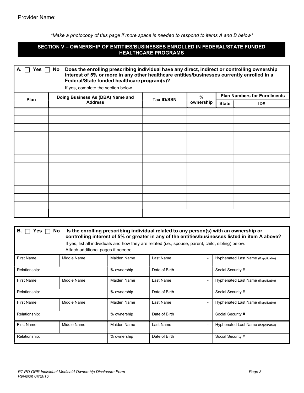| <b>HEALTHCARE PROGRAMS</b> |                                                                                                                                                                                                                                                                                  |                   |           |              |     |  |  |  |  |  |
|----------------------------|----------------------------------------------------------------------------------------------------------------------------------------------------------------------------------------------------------------------------------------------------------------------------------|-------------------|-----------|--------------|-----|--|--|--|--|--|
| A. $\Box$ Yes $\Box$ No    | Does the enrolling prescribing individual have any direct, indirect or controlling ownership<br>interest of 5% or more in any other healthcare entities/businesses currently enrolled in a<br>Federal/State funded healthcare program(s)?<br>If yes, complete the section below. |                   |           |              |     |  |  |  |  |  |
|                            | <b>Plan Numbers for Enrollments</b><br>%<br>Doing Business As (DBA) Name and                                                                                                                                                                                                     |                   |           |              |     |  |  |  |  |  |
| Plan                       | <b>Address</b>                                                                                                                                                                                                                                                                   | <b>Tax ID/SSN</b> | ownership | <b>State</b> | ID# |  |  |  |  |  |
|                            |                                                                                                                                                                                                                                                                                  |                   |           |              |     |  |  |  |  |  |
|                            |                                                                                                                                                                                                                                                                                  |                   |           |              |     |  |  |  |  |  |
|                            |                                                                                                                                                                                                                                                                                  |                   |           |              |     |  |  |  |  |  |
|                            |                                                                                                                                                                                                                                                                                  |                   |           |              |     |  |  |  |  |  |
|                            |                                                                                                                                                                                                                                                                                  |                   |           |              |     |  |  |  |  |  |
|                            |                                                                                                                                                                                                                                                                                  |                   |           |              |     |  |  |  |  |  |
|                            |                                                                                                                                                                                                                                                                                  |                   |           |              |     |  |  |  |  |  |
|                            |                                                                                                                                                                                                                                                                                  |                   |           |              |     |  |  |  |  |  |
|                            |                                                                                                                                                                                                                                                                                  |                   |           |              |     |  |  |  |  |  |
|                            |                                                                                                                                                                                                                                                                                  |                   |           |              |     |  |  |  |  |  |
|                            |                                                                                                                                                                                                                                                                                  |                   |           |              |     |  |  |  |  |  |
|                            |                                                                                                                                                                                                                                                                                  |                   |           |              |     |  |  |  |  |  |
|                            |                                                                                                                                                                                                                                                                                  |                   |           |              |     |  |  |  |  |  |
|                            |                                                                                                                                                                                                                                                                                  |                   |           |              |     |  |  |  |  |  |

| В.<br>Is the enrolling prescribing individual related to any person(s) with an ownership or<br>No.<br>res∍<br>controlling interest of 5% or greater in any of the entities/businesses listed in item A above?<br>If yes, list all individuals and how they are related (i.e., spouse, parent, child, sibling) below. |                                    |             |               |                |                                      |  |  |
|----------------------------------------------------------------------------------------------------------------------------------------------------------------------------------------------------------------------------------------------------------------------------------------------------------------------|------------------------------------|-------------|---------------|----------------|--------------------------------------|--|--|
|                                                                                                                                                                                                                                                                                                                      | Attach additional pages if needed. |             |               |                |                                      |  |  |
| <b>First Name</b>                                                                                                                                                                                                                                                                                                    | Middle Name                        | Maiden Name | Last Name     | $\blacksquare$ | Hyphenated Last Name (if applicable) |  |  |
| Relationship:                                                                                                                                                                                                                                                                                                        |                                    | % ownership | Date of Birth |                | Social Security #                    |  |  |
| <b>First Name</b>                                                                                                                                                                                                                                                                                                    | Middle Name                        | Maiden Name | Last Name     | $\blacksquare$ | Hyphenated Last Name (if applicable) |  |  |
| Relationship:                                                                                                                                                                                                                                                                                                        |                                    | % ownership | Date of Birth |                | Social Security #                    |  |  |
| <b>First Name</b>                                                                                                                                                                                                                                                                                                    | Middle Name                        | Maiden Name | Last Name     | $\blacksquare$ | Hyphenated Last Name (if applicable) |  |  |
| Relationship:                                                                                                                                                                                                                                                                                                        |                                    | % ownership | Date of Birth |                | Social Security #                    |  |  |
| <b>First Name</b>                                                                                                                                                                                                                                                                                                    | Middle Name                        | Maiden Name | Last Name     | $\blacksquare$ | Hyphenated Last Name (if applicable) |  |  |
| Relationship:                                                                                                                                                                                                                                                                                                        |                                    | % ownership | Date of Birth |                | Social Security #                    |  |  |

\*Make a photocopy of this page if more space is needed to respond to items A and B below\*

SECTION V – OWNERSHIP OF ENTITIES/BUSINESSES ENROLLED IN FEDERAL/STATE FUNDED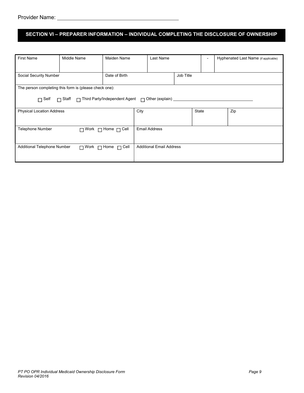### SECTION VI – PREPARER INFORMATION – INDIVIDUAL COMPLETING THE DISCLOSURE OF OWNERSHIP

| <b>First Name</b>                                                              | Middle Name                                            | Maiden Name                         | Last Name                       |       | - | Hyphenated Last Name (if applicable) |
|--------------------------------------------------------------------------------|--------------------------------------------------------|-------------------------------------|---------------------------------|-------|---|--------------------------------------|
|                                                                                |                                                        |                                     |                                 |       |   |                                      |
| Date of Birth<br>Social Security Number                                        |                                                        |                                     | Job Title                       |       |   |                                      |
|                                                                                | The person completing this form is (please check one): |                                     |                                 |       |   |                                      |
| □ Staff □ Third Party/Independent Agent □ Other (explain) _____<br>$\Box$ Self |                                                        |                                     |                                 |       |   |                                      |
| <b>Physical Location Address</b>                                               |                                                        |                                     | City                            | State |   | Zip                                  |
| <b>Telephone Number</b>                                                        | $\Box$ Work $\Box$ Home $\Box$ Cell                    | <b>Email Address</b>                |                                 |       |   |                                      |
| Additional Telephone Number                                                    |                                                        | $\Box$ Work $\Box$ Home $\Box$ Cell | <b>Additional Email Address</b> |       |   |                                      |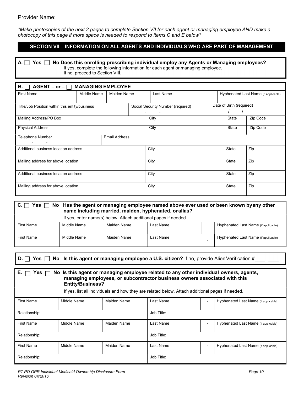\*Make photocopies of the next 2 pages to complete Section VII for each agent or managing employee AND make a photocopy of this page if more space is needed to respond to items C and E below\*

#### SECTION VII – INFORMATION ON ALL AGENTS AND INDIVIDUALS WHO ARE PART OF MANAGEMENT

A.  $\Box$  Yes  $\Box$  No Does this enrolling prescribing individual employ any Agents or Managing employees? If yes, complete the following information for each agent or managing employee. If no, proceed to Section VIII.

| $AGENT - or - \square$ MANAGING EMPLOYEE<br>B.  |             |             |                                   |           |  |                          |                                      |  |
|-------------------------------------------------|-------------|-------------|-----------------------------------|-----------|--|--------------------------|--------------------------------------|--|
| <b>First Name</b>                               | Middle Name | Maiden Name |                                   | Last Name |  |                          | Hyphenated Last Name (if applicable) |  |
| Title/Job Position within this entity/business  |             |             | Social Security Number (required) |           |  | Date of Birth (required) |                                      |  |
| Mailing Address/PO Box                          |             |             |                                   | City      |  | State                    | Zip Code                             |  |
| <b>Physical Address</b>                         |             |             |                                   | City      |  | State                    | Zip Code                             |  |
| <b>Email Address</b><br><b>Telephone Number</b> |             |             |                                   |           |  |                          |                                      |  |
| Additional business location address            |             |             |                                   | City      |  | <b>State</b>             | Zip                                  |  |
| Mailing address for above location              |             |             |                                   | City      |  | <b>State</b>             | Zip                                  |  |
| Additional business location address            |             |             |                                   | City      |  | <b>State</b>             | Zip                                  |  |
| Mailing address for above location              |             |             |                                   | City      |  | <b>State</b>             | Zip                                  |  |

| $C. \Box$<br>Yes $\Box$ | No Has the agent or managing employee named above ever used or been known byany other<br>name including married, maiden, hyphenated, or alias? |             |           |  |                                      |  |  |
|-------------------------|------------------------------------------------------------------------------------------------------------------------------------------------|-------------|-----------|--|--------------------------------------|--|--|
|                         | If yes, enter name(s) below. Attach additional pages if needed.                                                                                |             |           |  |                                      |  |  |
| <b>First Name</b>       | Middle Name                                                                                                                                    | Maiden Name | Last Name |  | Hyphenated Last Name (if applicable) |  |  |
| <b>First Name</b>       | Middle Name                                                                                                                                    | Maiden Name | Last Name |  | Hyphenated Last Name (if applicable) |  |  |

D.  $\Box$  Yes  $\Box$  No Is this agent or managing employee a U.S. citizen? If no, provide Alien Verification #

| E. I<br>No Is this agent or managing employee related to any other individual owners, agents,<br>Yes $\Box$<br>managing employees, or subcontractor business owners associated with this<br><b>Entity/Business?</b><br>If yes, list all individuals and how they are related below. Attach additional pages if needed. |             |             |            |  |                                      |  |
|------------------------------------------------------------------------------------------------------------------------------------------------------------------------------------------------------------------------------------------------------------------------------------------------------------------------|-------------|-------------|------------|--|--------------------------------------|--|
| <b>First Name</b>                                                                                                                                                                                                                                                                                                      | Middle Name | Maiden Name | Last Name  |  | Hyphenated Last Name (if applicable) |  |
| Relationship:                                                                                                                                                                                                                                                                                                          |             |             | Job Title: |  |                                      |  |
| <b>First Name</b>                                                                                                                                                                                                                                                                                                      | Middle Name | Maiden Name | Last Name  |  | Hyphenated Last Name (if applicable) |  |
| Relationship:                                                                                                                                                                                                                                                                                                          |             |             | Job Title: |  |                                      |  |
| <b>First Name</b>                                                                                                                                                                                                                                                                                                      | Middle Name | Maiden Name | Last Name  |  | Hyphenated Last Name (if applicable) |  |
| Relationship:                                                                                                                                                                                                                                                                                                          |             |             | Job Title: |  |                                      |  |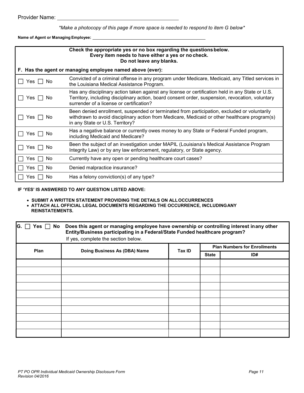\*Make a photocopy of this page if more space is needed to respond to item G below\*

Name of Agent or Managing Employee:

| Check the appropriate yes or no box regarding the questions below.<br>Every item needs to have either a yes or no check.<br>Do not leave any blanks. |                                                                                                                                                                                                                                                  |  |  |  |  |  |
|------------------------------------------------------------------------------------------------------------------------------------------------------|--------------------------------------------------------------------------------------------------------------------------------------------------------------------------------------------------------------------------------------------------|--|--|--|--|--|
|                                                                                                                                                      | F. Has the agent or managing employee named above (ever):                                                                                                                                                                                        |  |  |  |  |  |
| Yes.<br>Nο                                                                                                                                           | Convicted of a criminal offense in any program under Medicare, Medicaid, any Titled services in<br>the Louisiana Medical Assistance Program.                                                                                                     |  |  |  |  |  |
| Yes l<br>No.                                                                                                                                         | Has any disciplinary action taken against any license or certification held in any State or U.S.<br>Territory, including disciplinary action, board consent order, suspension, revocation, voluntary<br>surrender of a license or certification? |  |  |  |  |  |
| Yes I<br>No                                                                                                                                          | Been denied enrollment, suspended or terminated from participation, excluded or voluntarily<br>withdrawn to avoid disciplinary action from Medicare, Medicaid or other healthcare program(s)<br>in any State or U.S. Territory?                  |  |  |  |  |  |
| Yes I<br>No.                                                                                                                                         | Has a negative balance or currently owes money to any State or Federal Funded program,<br>including Medicaid and Medicare?                                                                                                                       |  |  |  |  |  |
| Yes.<br><b>No</b>                                                                                                                                    | Been the subject of an investigation under MAPIL (Louisiana's Medical Assistance Program<br>Integrity Law) or by any law enforcement, regulatory, or State agency.                                                                               |  |  |  |  |  |
| No<br>∕es                                                                                                                                            | Currently have any open or pending healthcare court cases?                                                                                                                                                                                       |  |  |  |  |  |
| Yes<br>No                                                                                                                                            | Denied malpractice insurance?                                                                                                                                                                                                                    |  |  |  |  |  |
| res ⁄<br>No                                                                                                                                          | Has a felony conviction(s) of any type?                                                                                                                                                                                                          |  |  |  |  |  |

#### IF 'YES' IS ANSWERED TO ANY QUESTION LISTED ABOVE:

**• SUBMIT A WRITTEN STATEMENT PROVIDING THE DETAILS ON ALL OCCURRENCES** 

 ATTACH ALL OFFICIAL LEGAL DOCUMENTS REGARDING THE OCCURRENCE, INCLUDING ANY REINSTATEMENTS.

| IG.  | Yes $\Box$ No Does this agent or managing employee have ownership or controlling interest inany other<br>Entity/Business participating in a Federal/State Funded healthcare program?<br>If yes, complete the section below. |        |              |                                     |
|------|-----------------------------------------------------------------------------------------------------------------------------------------------------------------------------------------------------------------------------|--------|--------------|-------------------------------------|
| Plan | Doing Business As (DBA) Name                                                                                                                                                                                                | Tax ID |              | <b>Plan Numbers for Enrollments</b> |
|      |                                                                                                                                                                                                                             |        | <b>State</b> | ID#                                 |
|      |                                                                                                                                                                                                                             |        |              |                                     |
|      |                                                                                                                                                                                                                             |        |              |                                     |
|      |                                                                                                                                                                                                                             |        |              |                                     |
|      |                                                                                                                                                                                                                             |        |              |                                     |
|      |                                                                                                                                                                                                                             |        |              |                                     |
|      |                                                                                                                                                                                                                             |        |              |                                     |
|      |                                                                                                                                                                                                                             |        |              |                                     |
|      |                                                                                                                                                                                                                             |        |              |                                     |
|      |                                                                                                                                                                                                                             |        |              |                                     |
|      |                                                                                                                                                                                                                             |        |              |                                     |